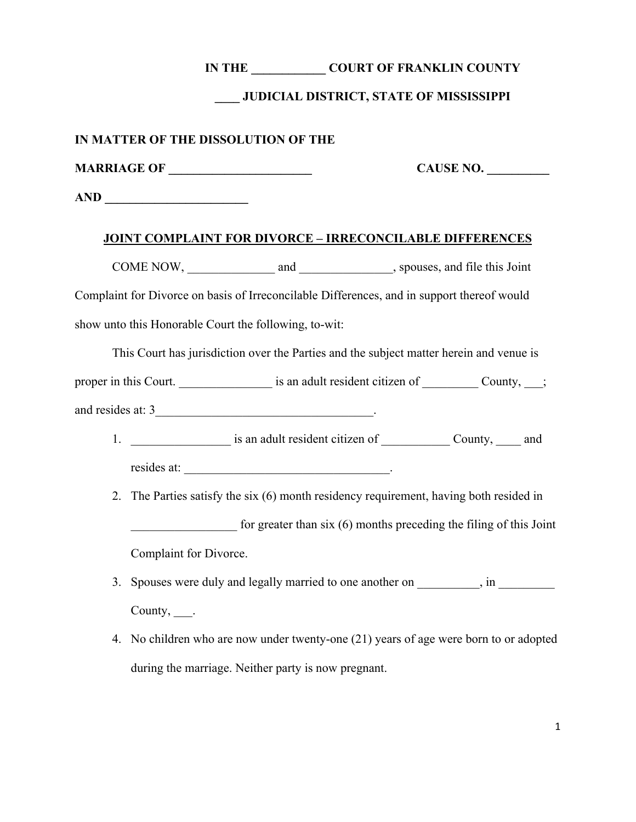### **IN THE \_\_\_\_\_\_\_\_\_\_\_\_ COURT OF FRANKLIN COUNTY**

### **\_\_\_\_ JUDICIAL DISTRICT, STATE OF MISSISSIPPI**

#### **IN MATTER OF THE DISSOLUTION OF THE**

**MARRIAGE OF \_\_\_\_\_\_\_\_\_\_\_\_\_\_\_\_\_\_\_\_\_\_\_**

**CAUSE NO. \_\_\_\_\_\_\_\_\_\_**

**AND \_\_\_\_\_\_\_\_\_\_\_\_\_\_\_\_\_\_\_\_\_\_\_**

#### **JOINT COMPLAINT FOR DIVORCE – IRRECONCILABLE DIFFERENCES**

COME NOW, and and spouses, and file this Joint Complaint for Divorce on basis of Irreconcilable Differences, and in support thereof would show unto this Honorable Court the following, to-wit:

This Court has jurisdiction over the Parties and the subject matter herein and venue is

proper in this Court. <br>  $\vdots$  is an adult resident citizen of  $\qquad \qquad$  County,  $\qquad ;$ 

and resides at: 3

- 1.  $\qquad \qquad$  is an adult resident citizen of  $\qquad \qquad$  County, and resides at:  $\blacksquare$
- 2. The Parties satisfy the six (6) month residency requirement, having both resided in for greater than six  $(6)$  months preceding the filing of this Joint Complaint for Divorce.
- 3. Spouses were duly and legally married to one another on  $\cdot$ , in County, .
- 4. No children who are now under twenty-one (21) years of age were born to or adopted during the marriage. Neither party is now pregnant.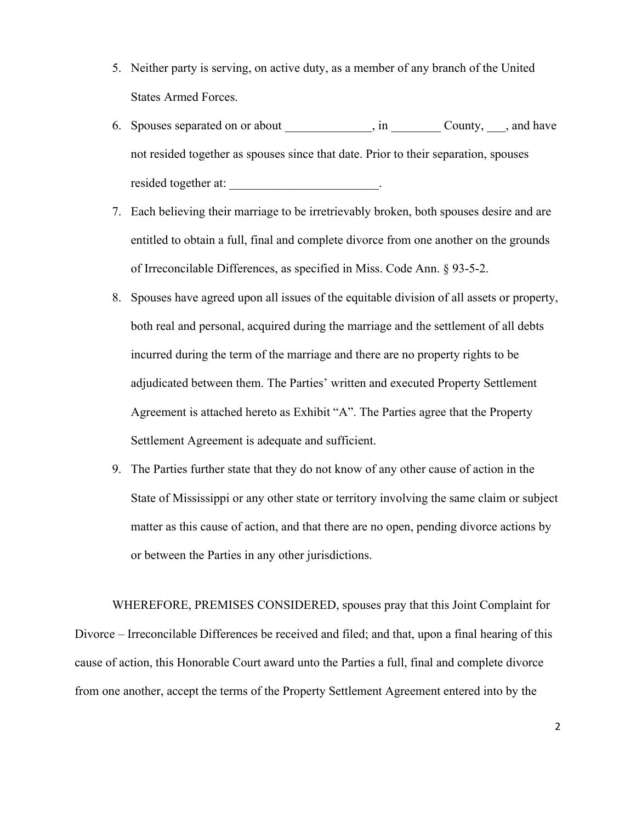- 5. Neither party is serving, on active duty, as a member of any branch of the United States Armed Forces.
- 6. Spouses separated on or about  $\qquad \qquad$ , in  $\qquad \qquad$  County,  $\qquad$ , and have not resided together as spouses since that date. Prior to their separation, spouses resided together at:  $\blacksquare$
- 7. Each believing their marriage to be irretrievably broken, both spouses desire and are entitled to obtain a full, final and complete divorce from one another on the grounds of Irreconcilable Differences, as specified in Miss. Code Ann. § 93-5-2.
- 8. Spouses have agreed upon all issues of the equitable division of all assets or property, both real and personal, acquired during the marriage and the settlement of all debts incurred during the term of the marriage and there are no property rights to be adjudicated between them. The Parties' written and executed Property Settlement Agreement is attached hereto as Exhibit "A". The Parties agree that the Property Settlement Agreement is adequate and sufficient.
- 9. The Parties further state that they do not know of any other cause of action in the State of Mississippi or any other state or territory involving the same claim or subject matter as this cause of action, and that there are no open, pending divorce actions by or between the Parties in any other jurisdictions.

WHEREFORE, PREMISES CONSIDERED, spouses pray that this Joint Complaint for Divorce – Irreconcilable Differences be received and filed; and that, upon a final hearing of this cause of action, this Honorable Court award unto the Parties a full, final and complete divorce from one another, accept the terms of the Property Settlement Agreement entered into by the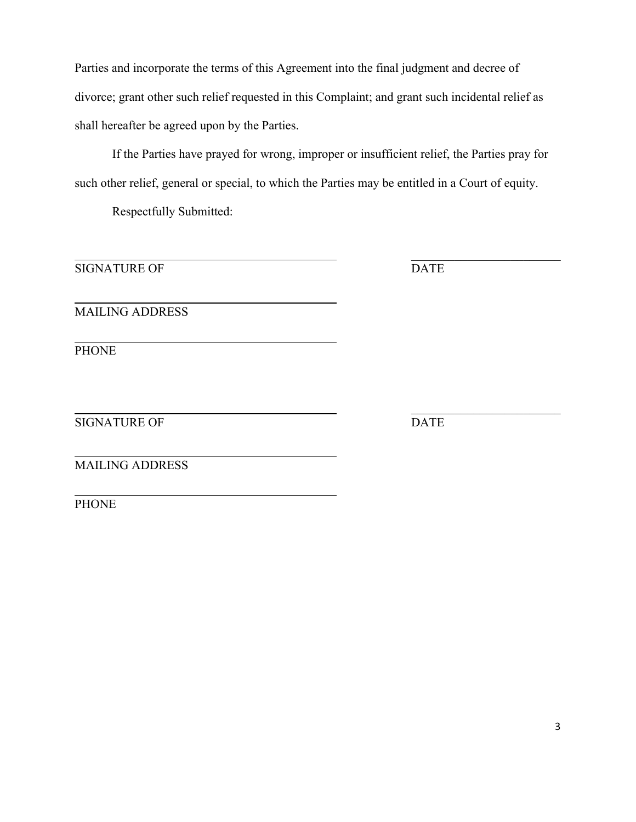Parties and incorporate the terms of this Agreement into the final judgment and decree of divorce; grant other such relief requested in this Complaint; and grant such incidental relief as shall hereafter be agreed upon by the Parties.

If the Parties have prayed for wrong, improper or insufficient relief, the Parties pray for such other relief, general or special, to which the Parties may be entitled in a Court of equity.

Respectfully Submitted:

SIGNATURE OF DATE

\_\_\_\_\_\_\_\_\_\_\_\_\_\_\_\_\_\_\_\_\_\_\_\_

MAILING ADDRESS

PHONE

SIGNATURE OF DATE

\_\_\_\_\_\_\_\_\_\_\_\_\_\_\_\_\_\_\_\_\_\_\_\_

MAILING ADDRESS

**PHONE**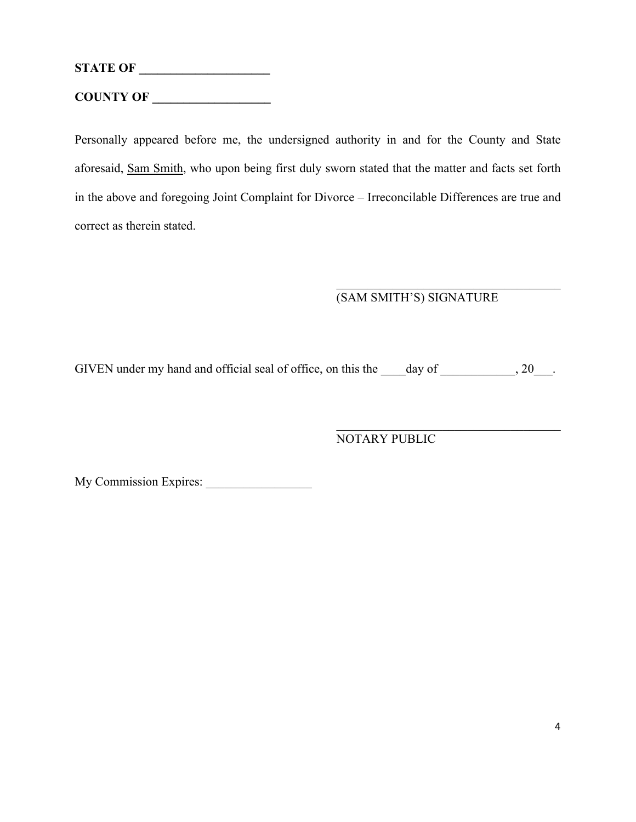**STATE OF \_\_\_\_\_\_\_\_\_\_\_\_\_\_\_\_\_\_\_\_\_ COUNTY OF \_\_\_\_\_\_\_\_\_\_\_\_\_\_\_\_\_\_\_**

Personally appeared before me, the undersigned authority in and for the County and State aforesaid, Sam Smith, who upon being first duly sworn stated that the matter and facts set forth in the above and foregoing Joint Complaint for Divorce – Irreconcilable Differences are true and correct as therein stated.

# (SAM SMITH'S) SIGNATURE

 $\mathcal{L}_\mathcal{L}$ 

GIVEN under my hand and official seal of office, on this the \_\_\_\_day of \_\_\_\_\_\_\_\_\_, 20\_\_\_.

# NOTARY PUBLIC

My Commission Expires: \_\_\_\_\_\_\_\_\_\_\_\_\_\_\_\_\_